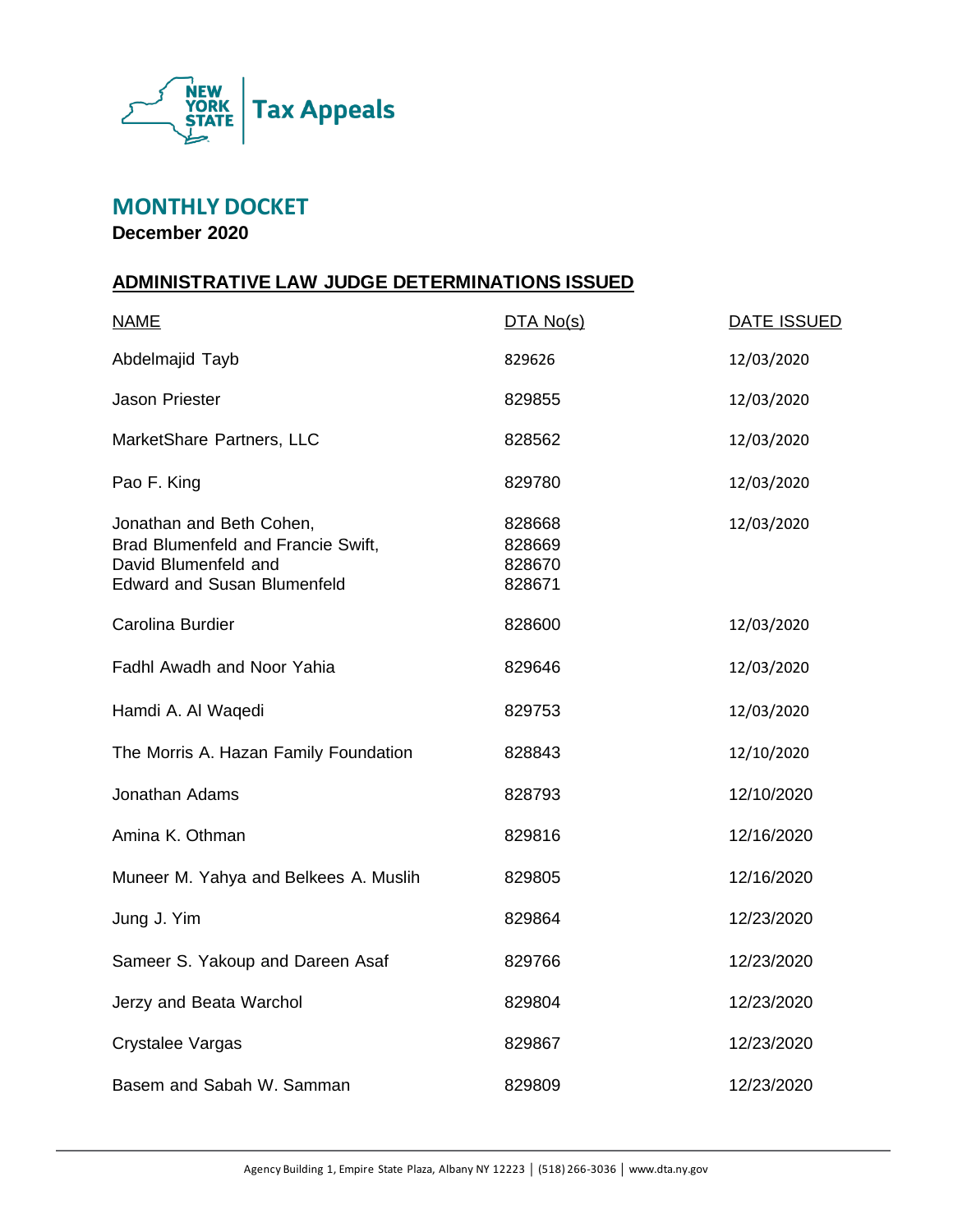

# **MONTHLY DOCKET**

**December 2020**

#### **ADMINISTRATIVE LAW JUDGE DETERMINATIONS ISSUED**

| <b>NAME</b>                                                                                                                  | DTA No(s)                            | <b>DATE ISSUED</b> |
|------------------------------------------------------------------------------------------------------------------------------|--------------------------------------|--------------------|
| Abdelmajid Tayb                                                                                                              | 829626                               | 12/03/2020         |
| <b>Jason Priester</b>                                                                                                        | 829855                               | 12/03/2020         |
| MarketShare Partners, LLC                                                                                                    | 828562                               | 12/03/2020         |
| Pao F. King                                                                                                                  | 829780                               | 12/03/2020         |
| Jonathan and Beth Cohen,<br>Brad Blumenfeld and Francie Swift,<br>David Blumenfeld and<br><b>Edward and Susan Blumenfeld</b> | 828668<br>828669<br>828670<br>828671 | 12/03/2020         |
| Carolina Burdier                                                                                                             | 828600                               | 12/03/2020         |
| Fadhl Awadh and Noor Yahia                                                                                                   | 829646                               | 12/03/2020         |
| Hamdi A. Al Waqedi                                                                                                           | 829753                               | 12/03/2020         |
| The Morris A. Hazan Family Foundation                                                                                        | 828843                               | 12/10/2020         |
| Jonathan Adams                                                                                                               | 828793                               | 12/10/2020         |
| Amina K. Othman                                                                                                              | 829816                               | 12/16/2020         |
| Muneer M. Yahya and Belkees A. Muslih                                                                                        | 829805                               | 12/16/2020         |
| Jung J. Yim                                                                                                                  | 829864                               | 12/23/2020         |
| Sameer S. Yakoup and Dareen Asaf                                                                                             | 829766                               | 12/23/2020         |
| Jerzy and Beata Warchol                                                                                                      | 829804                               | 12/23/2020         |
| Crystalee Vargas                                                                                                             | 829867                               | 12/23/2020         |
| Basem and Sabah W. Samman                                                                                                    | 829809                               | 12/23/2020         |